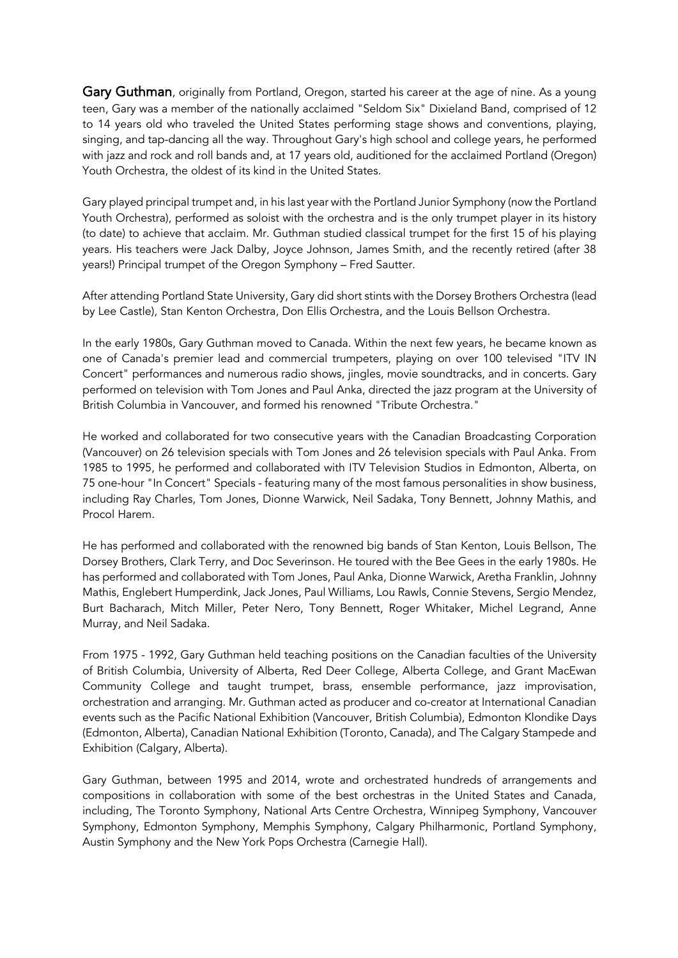Gary Guthman, originally from Portland, Oregon, started his career at the age of nine. As a young teen, Gary was a member of the nationally acclaimed "Seldom Six" Dixieland Band, comprised of 12 to 14 years old who traveled the United States performing stage shows and conventions, playing, singing, and tap-dancing all the way. Throughout Gary's high school and college years, he performed with jazz and rock and roll bands and, at 17 years old, auditioned for the acclaimed Portland (Oregon) Youth Orchestra, the oldest of its kind in the United States.

Gary played principal trumpet and, in his last year with the Portland Junior Symphony (now the Portland Youth Orchestra), performed as soloist with the orchestra and is the only trumpet player in its history (to date) to achieve that acclaim. Mr. Guthman studied classical trumpet for the first 15 of his playing years. His teachers were Jack Dalby, Joyce Johnson, James Smith, and the recently retired (after 38 years!) Principal trumpet of the Oregon Symphony – Fred Sautter.

After attending Portland State University, Gary did short stints with the Dorsey Brothers Orchestra (lead by Lee Castle), Stan Kenton Orchestra, Don Ellis Orchestra, and the Louis Bellson Orchestra.

In the early 1980s, Gary Guthman moved to Canada. Within the next few years, he became known as one of Canada's premier lead and commercial trumpeters, playing on over 100 televised "ITV IN Concert" performances and numerous radio shows, jingles, movie soundtracks, and in concerts. Gary performed on television with Tom Jones and Paul Anka, directed the jazz program at the University of British Columbia in Vancouver, and formed his renowned "Tribute Orchestra."

He worked and collaborated for two consecutive years with the Canadian Broadcasting Corporation (Vancouver) on 26 television specials with Tom Jones and 26 television specials with Paul Anka. From 1985 to 1995, he performed and collaborated with ITV Television Studios in Edmonton, Alberta, on 75 one-hour "In Concert" Specials - featuring many of the most famous personalities in show business, including Ray Charles, Tom Jones, Dionne Warwick, Neil Sadaka, Tony Bennett, Johnny Mathis, and Procol Harem.

He has performed and collaborated with the renowned big bands of Stan Kenton, Louis Bellson, The Dorsey Brothers, Clark Terry, and Doc Severinson. He toured with the Bee Gees in the early 1980s. He has performed and collaborated with Tom Jones, Paul Anka, Dionne Warwick, Aretha Franklin, Johnny Mathis, Englebert Humperdink, Jack Jones, Paul Williams, Lou Rawls, Connie Stevens, Sergio Mendez, Burt Bacharach, Mitch Miller, Peter Nero, Tony Bennett, Roger Whitaker, Michel Legrand, Anne Murray, and Neil Sadaka.

From 1975 - 1992, Gary Guthman held teaching positions on the Canadian faculties of the University of British Columbia, University of Alberta, Red Deer College, Alberta College, and Grant MacEwan Community College and taught trumpet, brass, ensemble performance, jazz improvisation, orchestration and arranging. Mr. Guthman acted as producer and co-creator at International Canadian events such as the Pacific National Exhibition (Vancouver, British Columbia), Edmonton Klondike Days (Edmonton, Alberta), Canadian National Exhibition (Toronto, Canada), and The Calgary Stampede and Exhibition (Calgary, Alberta).

Gary Guthman, between 1995 and 2014, wrote and orchestrated hundreds of arrangements and compositions in collaboration with some of the best orchestras in the United States and Canada, including, The Toronto Symphony, National Arts Centre Orchestra, Winnipeg Symphony, Vancouver Symphony, Edmonton Symphony, Memphis Symphony, Calgary Philharmonic, Portland Symphony, Austin Symphony and the New York Pops Orchestra (Carnegie Hall).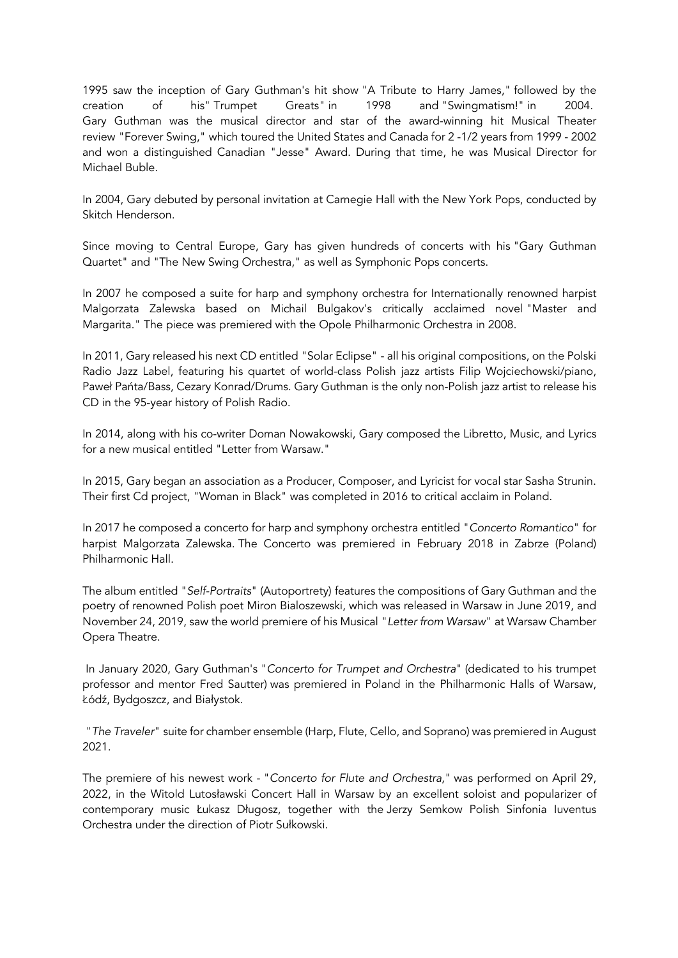1995 saw the inception of Gary Guthman's hit show "A Tribute to Harry James," followed by the creation of his" Trumpet Greats" in 1998 and "Swingmatism!" in 2004. Gary Guthman was the musical director and star of the award-winning hit Musical Theater review "Forever Swing," which toured the United States and Canada for 2 -1/2 years from 1999 - 2002 and won a distinguished Canadian "Jesse" Award. During that time, he was Musical Director for Michael Buble.

In 2004, Gary debuted by personal invitation at Carnegie Hall with the New York Pops, conducted by Skitch Henderson.

Since moving to Central Europe, Gary has given hundreds of concerts with his "Gary Guthman Quartet" and "The New Swing Orchestra," as well as Symphonic Pops concerts.

In 2007 he composed a suite for harp and symphony orchestra for Internationally renowned harpist Malgorzata Zalewska based on Michail Bulgakov's critically acclaimed novel "Master and Margarita." The piece was premiered with the Opole Philharmonic Orchestra in 2008.

In 2011, Gary released his next CD entitled "Solar Eclipse" - all his original compositions, on the Polski Radio Jazz Label, featuring his quartet of world-class Polish jazz artists Filip Wojciechowski/piano, Paweł Pańta/Bass, Cezary Konrad/Drums. Gary Guthman is the only non-Polish jazz artist to release his CD in the 95-year history of Polish Radio.

In 2014, along with his co-writer Doman Nowakowski, Gary composed the Libretto, Music, and Lyrics for a new musical entitled "Letter from Warsaw."

In 2015, Gary began an association as a Producer, Composer, and Lyricist for vocal star Sasha Strunin. Their first Cd project, "Woman in Black" was completed in 2016 to critical acclaim in Poland.

In 2017 he composed a concerto for harp and symphony orchestra entitled "*Concerto Romantico*" for harpist Malgorzata Zalewska. The Concerto was premiered in February 2018 in Zabrze (Poland) Philharmonic Hall.

The album entitled "*Self-Portraits*" (Autoportrety) features the compositions of Gary Guthman and the poetry of renowned Polish poet Miron Bialoszewski, which was released in Warsaw in June 2019, and November 24, 2019, saw the world premiere of his Musical "*Letter from Warsaw*" at Warsaw Chamber Opera Theatre.

In January 2020, Gary Guthman's "*Concerto for Trumpet and Orchestra*" (dedicated to his trumpet professor and mentor Fred Sautter) was premiered in Poland in the Philharmonic Halls of Warsaw, Łódź, Bydgoszcz, and Białystok.

"*The Traveler*" suite for chamber ensemble (Harp, Flute, Cello, and Soprano) was premiered in August 2021.

The premiere of his newest work - "*Concerto for Flute and Orchestra*," was performed on April 29, 2022, in the Witold Lutosławski Concert Hall in Warsaw by an excellent soloist and popularizer of contemporary music Łukasz Długosz, together with the Jerzy Semkow Polish Sinfonia Iuventus Orchestra under the direction of Piotr Sułkowski.